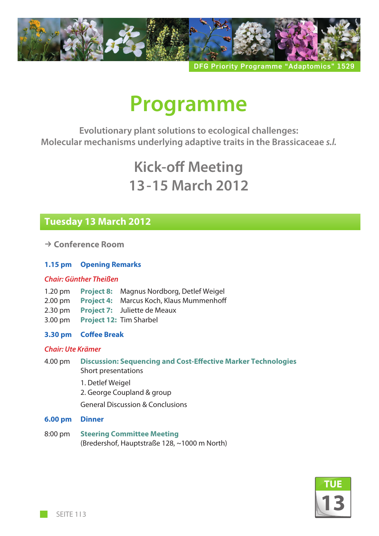

**DFG Priority Programme "Adaptomics** 

# **Programme**

**Evolutionary plant solutions to ecological challenges: Molecular mechanisms underlying adaptive traits in the Brassicaceae** *s.l.*

## **Kick-off Meeting 13-15 March 2012**

## **Tuesday 13 March 2012**

 $→$  **Conference Room** 

#### **1.15 pm Opening Remarks**

#### *Chair: Günther Theißen*

- 1.20 pm **Project 8:** Magnus Nordborg, Detlef Weigel
- 2.00 pm **Project 4:** Marcus Koch, Klaus Mummenhoff
- 2.30 pm **Project 7:** Juliette de Meaux
- 3.00 pm **Project 12:** Tim Sharbel
- **3.30 pm Coffee Break**

#### *Chair: Ute Krämer*

- 4.00 pm **Discussion: Sequencing and Cost-Effective Marker Technologies** Short presentations
	- 1. Detlef Weigel
	- 2. George Coupland & group

General Discussion & Conclusions

- **6.00 pm Dinner**
- 8:00 pm **Steering Committee Meeting** (Bredershof, Hauptstraße 128, ~1000 m North)

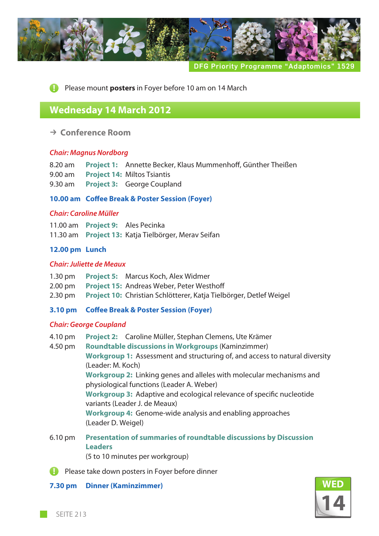

**DFG Priority Programme "Adaptomics** 

**Please mount posters in Foyer before 10 am on 14 March** 

### **Wednesday 14 March 2012**

k **Conference Room**

#### *Chair: Magnus Nordborg*

- 8.20 am **Project 1:** Annette Becker, Klaus Mummenhoff, Günther Theißen
- 9.00 am **Project 14:** Miltos Tsiantis
- 9.30 am **Project 3:** George Coupland

#### **10.00 am Coffee Break & Poster Session (Foyer)**

#### *Chair: Caroline Müller*

11.00 am **Project 9:** Ales Pecinka 11.30 am **Project 13:** Katja Tielbörger, Merav Seifan

#### **12.00 pm Lunch**

#### *Chair: Juliette de Meaux*

- 1.30 pm **Project 5:** Marcus Koch, Alex Widmer
- 2.00 pm **Project 15:** Andreas Weber, Peter Westhoff
- 2.30 pm **Project 10:** Christian Schlötterer, Katja Tielbörger, Detlef Weigel

#### **3.10 pm Coffee Break & Poster Session (Foyer)**

#### *Chair: George Coupland*

4.10 pm **Project 2:** Caroline Müller, Stephan Clemens, Ute Krämer

4.50 pm **Roundtable discussions in Workgroups** (Kaminzimmer) **Workgroup 1:** Assessment and structuring of, and access to natural diversity (Leader: M. Koch) **Workgroup 2:** Linking genes and alleles with molecular mechanisms and physiological functions (Leader A. Weber) **Workgroup 3:** Adaptive and ecological relevance of specific nucleotide variants (Leader J. de Meaux) **Workgroup 4:** Genome-wide analysis and enabling approaches (Leader D. Weigel)

6.10 pm **Presentation of summaries of roundtable discussions by Discussion Leaders** (5 to 10 minutes per workgroup)

**Please take down posters in Foyer before dinner** 

#### **7.30 pm Dinner (Kaminzimmer)**